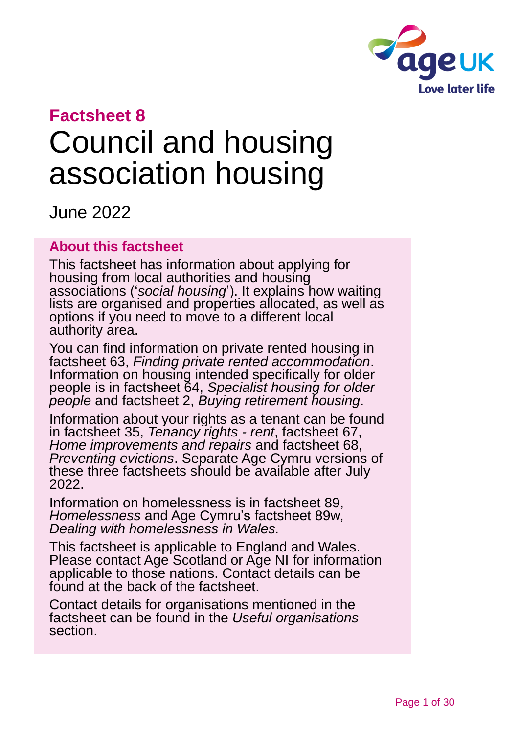

# **Factsheet 8**  Council and housing association housing

June 2022

### **About this factsheet**

This factsheet has information about applying for housing from local authorities and housing associations ('*social housing*'). It explains how waiting lists are organised and properties allocated, as well as options if you need to move to a different local authority area.

You can find information on private rented housing in factsheet 63, *[Finding private rented accommodation](https://www.ageuk.org.uk/globalassets/age-uk/documents/factsheets/fs63_finding_private_rented_accommodation_fcs.pdf?dtrk=true)*. Information on housing intended specifically for older people is in factsheet 64, *[Specialist housing for older](https://www.ageuk.org.uk/globalassets/age-uk/documents/factsheets/fs64_specialist_housing_for_older_people_fcs.pdf?dtrk=true)  [people](https://www.ageuk.org.uk/globalassets/age-uk/documents/factsheets/fs64_specialist_housing_for_older_people_fcs.pdf?dtrk=true)* and factsheet 2, *[Buying retirement housing](https://www.ageuk.org.uk/globalassets/age-uk/documents/factsheets/fs2_buying_retirement_housing_fcs.pdf?dtrk=true)*.

Information about your rights as a tenant can be found in factsheet 35, *[Tenancy rights](http://www.ageuk.org.uk/Documents/EN-GB/Factsheets/FS35_Tenancy_rights_rent_fcs.pdf?dtrk=true) - rent*, factsheet 67, *[Home improvements and repairs](https://www.ageuk.org.uk/globalassets/age-uk/documents/factsheets/fs67_home_improvements_and_repairs_fcs.pdf?dtrk=true)* and factsheet 68, *[Preventing](https://www.ageuk.org.uk/globalassets/age-uk/documents/factsheets/fs68_tenancy_rights_security_of_tenure_fcs.pdf) evictions*. Separate Age Cymru versions of these three factsheets should be available after July 2022.

Information on homelessness is in factsheet 89, *[Homelessness](https://www.ageuk.org.uk/globalassets/age-uk/documents/factsheets/fs89_homelessness_fcs.pdf)* and Age Cymru's factsheet 89w, *[Dealing with homelessness in Wales.](https://www.ageuk.org.uk/globalassets/age-cymru/documents/information-guides-and-factsheets/fs89w.pdf)*

This factsheet is applicable to England and Wales. Please contact [Age Scotland or Age NI](#page-28-0) for information applicable to those nations. Contact details can be found at the [back of the](#page-28-1) factsheet.

Contact details for organisations mentioned in the factsheet can be found in the *[Useful organisations](#page-24-0)* [section.](#page-24-0)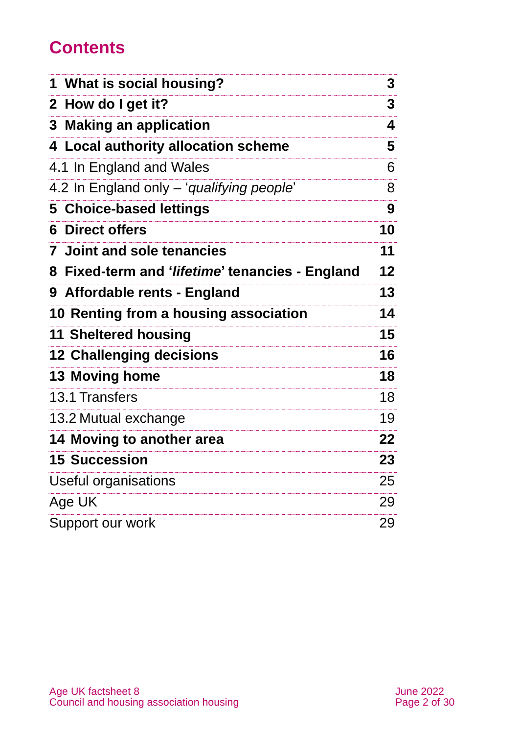# **Contents**

| 1 What is social housing?                       | 3                 |
|-------------------------------------------------|-------------------|
| 2 How do I get it?                              | 3                 |
| 3 Making an application                         | 4                 |
| 4 Local authority allocation scheme             | 5                 |
| 4.1 In England and Wales                        | 6                 |
| 4.2 In England only – 'qualifying people'       | 8                 |
| 5 Choice-based lettings                         | 9                 |
| <b>6 Direct offers</b>                          | 10                |
| <b>7</b> Joint and sole tenancies               | 11                |
| 8 Fixed-term and 'lifetime' tenancies - England | $12 \ \mathsf{ }$ |
| 9 Affordable rents - England                    | 13                |
| 10 Renting from a housing association           | 14                |
| 11 Sheltered housing                            | 15                |
| <b>12 Challenging decisions</b>                 | 16                |
| <b>13 Moving home</b>                           | 18                |
| 13.1 Transfers                                  | 18                |
| 13.2 Mutual exchange                            | 19                |
| 14 Moving to another area                       | 22                |
| <b>15 Succession</b>                            | 23                |
| Useful organisations                            | 25                |
| Age UK                                          | 29                |
| Support our work                                | 29                |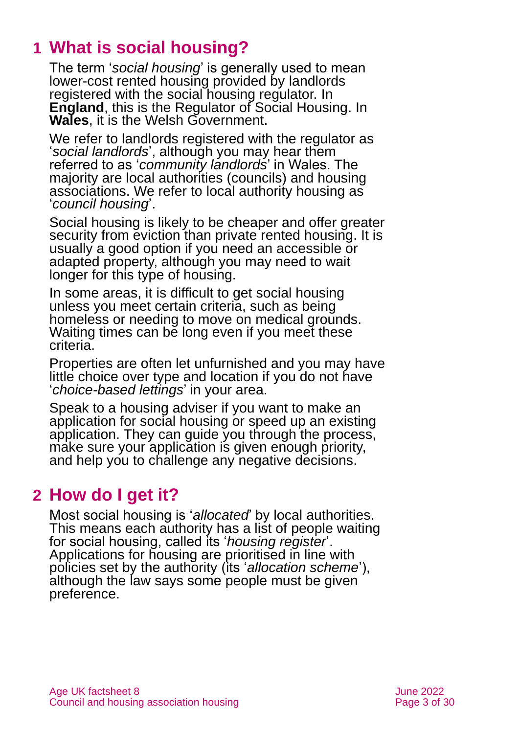# <span id="page-2-0"></span>**1 What is social housing?**

The term '*social housing*' is generally used to mean lower-cost rented housing provided by landlords registered with the social housing regulator. In **England**, this is the [Regulator of Social Housing.](https://www.gov.uk/government/organisations/regulator-of-social-housing) In **Wales**, it is the [Welsh Government.](https://gov.wales/)

We refer to landlords registered with the regulator as '*social landlords*', although you may hear them referred to as '*community landlords*' in Wales. The majority are local authorities (councils) and housing associations. We refer to local authority housing as '*council housing*'.

Social housing is likely to be cheaper and offer greater security from eviction than private rented housing. It is usually a good option if you need an accessible or adapted property, although you may need to wait longer for this type of housing.

In some areas, it is difficult to get social housing unless you meet certain criteria, such as being homeless or needing to move on medical grounds. Waiting times can be long even if you meet these criteria.

Properties are often let unfurnished and you may have little choice over type and location if you do not have '*choice-based lettings*' in your area.

Speak to a housing adviser if you want to make an application for social housing or speed up an existing application. They can guide you through the process, make sure your application is given enough priority, and help you to challenge any negative decisions.

# <span id="page-2-1"></span>**2 How do I get it?**

Most social housing is '*allocated*' by local authorities. This means each authority has a list of people waiting for social housing, called its '*housing register*'. Applications for housing are prioritised in line with policies set by the authority (its '*allocation scheme*'), although the law says some people must be given preference.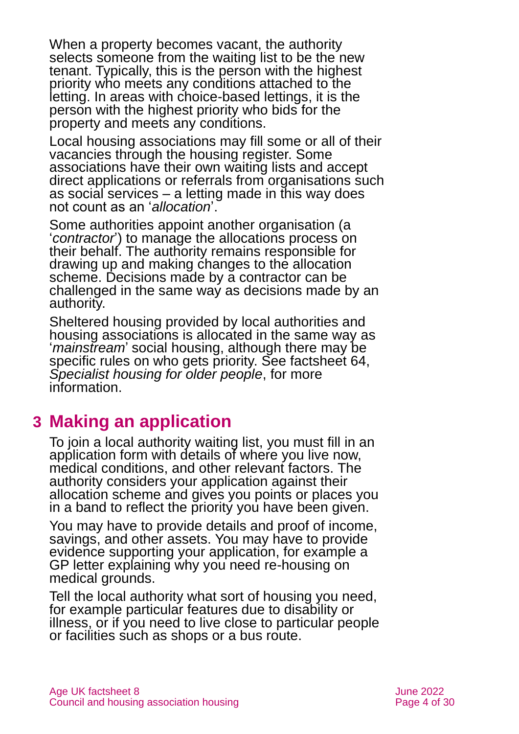When a property becomes vacant, the authority selects someone from the waiting list to be the new tenant. Typically, this is the person with the highest priority who meets any conditions attached to the letting. In areas with choice-based lettings, it is the person with the highest priority who bids for the property and meets any conditions.

Local housing associations may fill some or all of their vacancies through the housing register. Some associations have their own waiting lists and accept direct applications or referrals from organisations such as social services – a letting made in this way does not count as an '*allocation*'.

Some authorities appoint another organisation (a '*contractor*') to manage the allocations process on their behalf. The authority remains responsible for drawing up and making changes to the allocation scheme. Decisions made by a contractor can be challenged in the same way as decisions made by an authority.

Sheltered housing provided by local authorities and housing associations is allocated in the same way as '*mainstream*' social housing, although there may be specific rules on who gets priority. See factsheet 64, *[Specialist housing for older people](https://www.ageuk.org.uk/globalassets/age-uk/documents/factsheets/fs64_specialist_housing_for_older_people_fcs.pdf?dtrk=true)*, for more information.

# <span id="page-3-0"></span>**3 Making an application**

To join a local authority waiting list, you must fill in an application form with details of where you live now, medical conditions, and other relevant factors. The authority considers your application against their allocation scheme and gives you points or places you in a band to reflect the priority you have been given.

You may have to provide details and proof of income, savings, and other assets. You may have to provide evidence supporting your application, for example a GP letter explaining why you need re-housing on medical grounds.

Tell the local authority what sort of housing you need, for example particular features due to disability or illness, or if you need to live close to particular people or facilities such as shops or a bus route.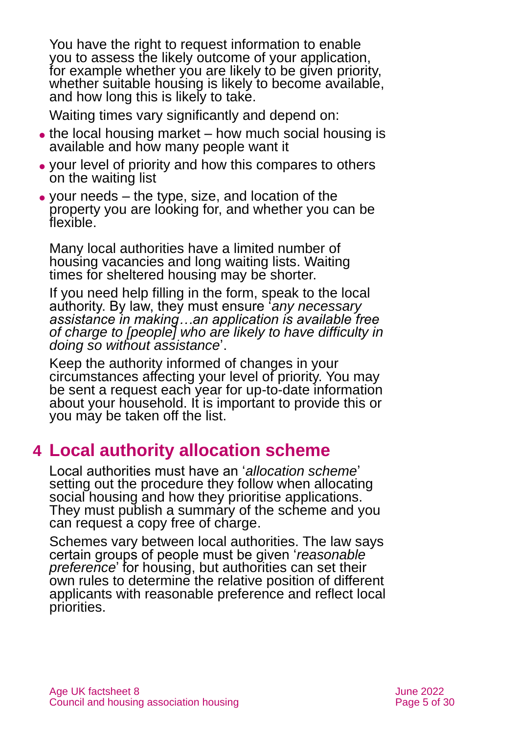You have the right to request information to enable you to assess the likely outcome of your application, for example whether you are likely to be given priority, whether suitable housing is likely to become available, and how long this is likely to take.

Waiting times vary significantly and depend on:

- the local housing market how much social housing is available and how many people want it
- ⚫ your level of priority and how this compares to others on the waiting list
- ⚫ your needs the type, size, and location of the property you are looking for, and whether you can be flexible.

Many local authorities have a limited number of housing vacancies and long waiting lists. Waiting times for sheltered housing may be shorter.

If you need help filling in the form, speak to the local authority. By law, they must ensure '*any necessary assistance in making…an application is available free of charge to [people] who are likely to have difficulty in doing so without assistance*'.

Keep the authority informed of changes in your circumstances affecting your level of priority. You may be sent a request each year for up-to-date information about your household. It is important to provide this or you may be taken off the list.

# <span id="page-4-0"></span>**4 Local authority allocation scheme**

Local authorities must have an '*allocation scheme*' setting out the procedure they follow when allocating social housing and how they prioritise applications. They must publish a summary of the scheme and you can request a copy free of charge.

Schemes vary between local authorities. The law says certain groups of people must be given '*reasonable preference*' for housing, but authorities can set their own rules to determine the relative position of different applicants with reasonable preference and reflect local priorities.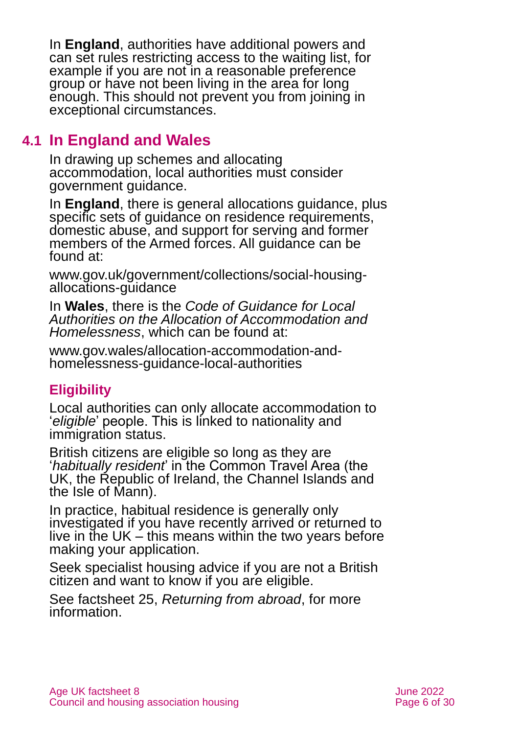In **England**, authorities have additional powers and can set rules restricting access to the waiting list, for example if you are not in a reasonable preference group or have not been living in the area for long enough. This should not prevent you from joining in exceptional circumstances.

### <span id="page-5-0"></span>**4.1 In England and Wales**

In drawing up schemes and allocating accommodation, local authorities must consider government guidance.

In **England**, there is general allocations guidance, plus specific sets of guidance on residence requirements, domestic abuse, and support for serving and former members of the Armed forces. All guidance can be found at:

[www.gov.uk/government/collections/social-housing](http://www.gov.uk/government/collections/social-housing-allocations-guidance)[allocations-guidance](http://www.gov.uk/government/collections/social-housing-allocations-guidance)

In **Wales**, there is the *[Code of Guidance for Local](https://gov.wales/allocation-accommodation-and-homelessness-guidance-local-authorities)  [Authorities on the Allocation of Accommodation and](https://gov.wales/allocation-accommodation-and-homelessness-guidance-local-authorities)  [Homelessness](https://gov.wales/allocation-accommodation-and-homelessness-guidance-local-authorities)*, which can be found at:

[www.gov.wales/allocation-accommodation-and](http://www.gov.wales/allocation-accommodation-and-homelessness-guidance-local-authorities)[homelessness-guidance-local-authorities](http://www.gov.wales/allocation-accommodation-and-homelessness-guidance-local-authorities)

### **Eligibility**

Local authorities can only allocate accommodation to '*eligible*' people. This is linked to nationality and immigration status.

British citizens are eligible so long as they are '*habitually resident*' in the Common Travel Area (the UK, the Republic of Ireland, the Channel Islands and the Isle of Mann).

In practice, habitual residence is generally only investigated if you have recently arrived or returned to live in the UK – this means within the two years before making your application.

Seek specialist housing advice if you are not a British citizen and want to know if you are eligible.

See factsheet 25, *[Returning from abroad](https://www.ageuk.org.uk/globalassets/age-uk/documents/factsheets/fs25_returning_from_abroad_fcs.pdf?dtrk=true)*, for more information.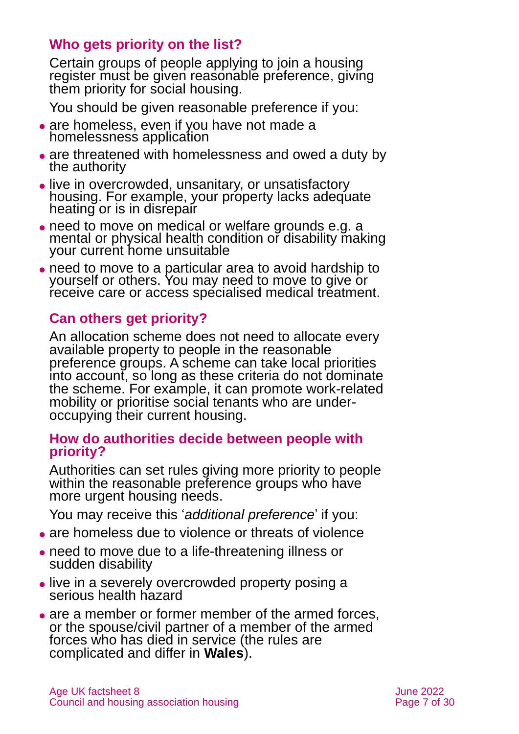### **Who gets priority on the list?**

Certain groups of people applying to join a housing register must be given reasonable preference, giving them priority for social housing.

You should be given reasonable preference if you:

- are homeless, even if you have not made a homelessness application
- are threatened with homelessness and owed a duty by the authority
- ⚫ live in overcrowded, unsanitary, or unsatisfactory housing. For example, your property lacks adequate heating or is in disrepair
- ⚫ need to move on medical or welfare grounds e.g. a mental or physical health condition or disability making your current home unsuitable
- ⚫ need to move to a particular area to avoid hardship to yourself or others. You may need to move to give or receive care or access specialised medical treatment.

### **Can others get priority?**

An allocation scheme does not need to allocate every available property to people in the reasonable preference groups. A scheme can take local priorities into account, so long as these criteria do not dominate the scheme. For example, it can promote work-related mobility or prioritise social tenants who are underoccupying their current housing.

#### **How do authorities decide between people with priority?**

Authorities can set rules giving more priority to people within the reasonable preference groups who have more urgent housing needs.

You may receive this '*additional preference*' if you:

- are homeless due to violence or threats of violence
- ⚫ need to move due to a life-threatening illness or sudden disability
- live in a severely overcrowded property posing a serious health hazard
- are a member or former member of the armed forces, or the spouse/civil partner of a member of the armed forces who has died in service (the rules are complicated and differ in **Wales**).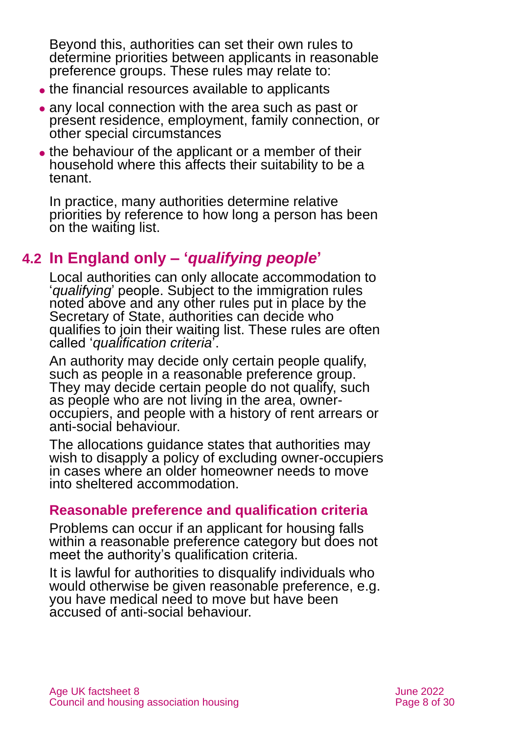Beyond this, authorities can set their own rules to determine priorities between applicants in reasonable preference groups. These rules may relate to:

- ⚫ the financial resources available to applicants
- any local connection with the area such as past or present residence, employment, family connection, or other special circumstances
- the behaviour of the applicant or a member of their household where this affects their suitability to be a tenant.

In practice, many authorities determine relative priorities by reference to how long a person has been on the waiting list.

### **4.2 In England only – '***qualifying people***'**

Local authorities can only allocate accommodation to '*qualifying*' people. Subject to the immigration rules noted above and any other rules put in place by the Secretary of State, authorities can decide who qualifies to join their waiting list. These rules are often called '*qualification criteria*'.

An authority may decide only certain people qualify, such as people in a reasonable preference group. They may decide certain people do not qualify, such as people who are not living in the area, owneroccupiers, and people with a history of rent arrears or anti-social behaviour.

The allocations guidance states that authorities may wish to disapply a policy of excluding owner-occupiers in cases where an older homeowner needs to move into sheltered accommodation.

#### **Reasonable preference and qualification criteria**

Problems can occur if an applicant for housing falls within a reasonable preference category but does not meet the authority's qualification criteria.

It is lawful for authorities to disqualify individuals who would otherwise be given reasonable preference, e.g. you have medical need to move but have been accused of anti-social behaviour.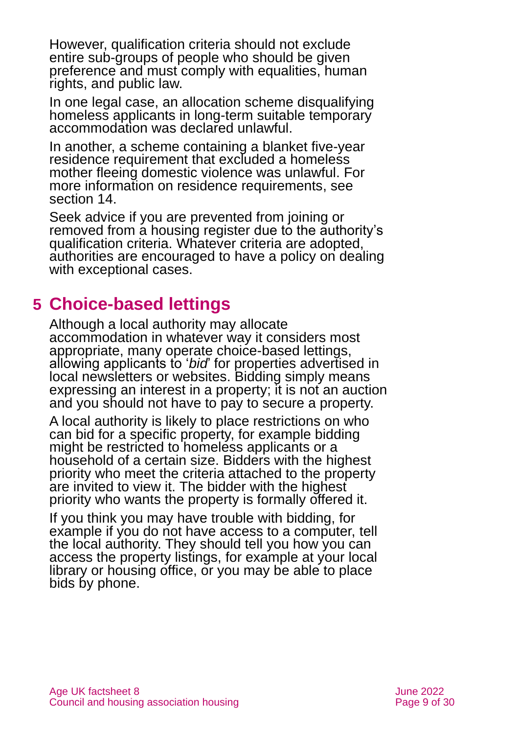However, qualification criteria should not exclude entire sub-groups of people who should be given preference and must comply with equalities, human rights, and public law.

In one legal case, an allocation scheme disqualifying homeless applicants in long-term suitable temporary accommodation was declared unlawful.

In another, a scheme containing a blanket five-year residence requirement that excluded a homeless mother fleeing domestic violence was unlawful. For more information on residence requirements, see [section 14.](#page-21-0)

Seek advice if you are prevented from joining or removed from a housing register due to the authority's qualification criteria. Whatever criteria are adopted, authorities are encouraged to have a policy on dealing with exceptional cases.

# <span id="page-8-0"></span>**5 Choice-based lettings**

Although a local authority may allocate accommodation in whatever way it considers most appropriate, many operate choice-based lettings, allowing applicants to '*bid*' for properties advertised in local newsletters or websites. Bidding simply means expressing an interest in a property; it is not an auction and you should not have to pay to secure a property.

A local authority is likely to place restrictions on who can bid for a specific property, for example bidding might be restricted to homeless applicants or a household of a certain size. Bidders with the highest priority who meet the criteria attached to the property are invited to view it. The bidder with the highest priority who wants the property is formally offered it.

If you think you may have trouble with bidding, for example if you do not have access to a computer, tell the local authority. They should tell you how you can access the property listings, for example at your local library or housing office, or you may be able to place bids by phone.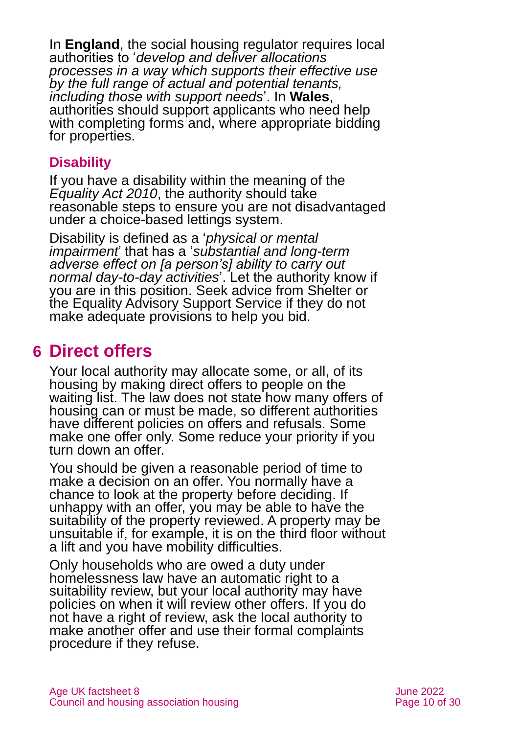In **England**, the social housing regulator requires local authorities to '*develop and deliver allocations processes in a way which supports their effective use by the full range of actual and potential tenants, including those with support needs*'. In **Wales**, authorities should support applicants who need help with completing forms and, where appropriate bidding for properties.

### **Disability**

If you have a disability within the meaning of the *[Equality Act 2010](https://www.legislation.gov.uk/ukpga/2010/15/contents)*, the authority should take reasonable steps to ensure you are not disadvantaged under a choice-based lettings system.

Disability is defined as a '*physical or mental impairment*' that has a '*substantial and long-term adverse effect on [a person's] ability to carry out normal day-to-day activities*'. Let the authority know if you are in this position. Seek advice from [Shelter](http://www.shelter.org.uk/) or the [Equality Advisory Support Servi](http://www.equalityadvisoryservice.com/)ce if they do not make adequate provisions to help you bid.

### <span id="page-9-0"></span>**6 Direct offers**

Your local authority may allocate some, or all, of its housing by making direct offers to people on the waiting list. The law does not state how many offers of housing can or must be made, so different authorities have different policies on offers and refusals. Some make one offer only. Some reduce your priority if you turn down an offer.

You should be given a reasonable period of time to make a decision on an offer. You normally have a chance to look at the property before deciding. If unhappy with an offer, you may be able to have the suitability of the property reviewed. A property may be unsuitable if, for example, it is on the third floor without a lift and you have mobility difficulties.

Only households who are owed a duty under homelessness law have an automatic right to a suitability review, but your local authority may have policies on when it will review other offers. If you do not have a right of review, ask the local authority to make another offer and use their formal complaints procedure if they refuse.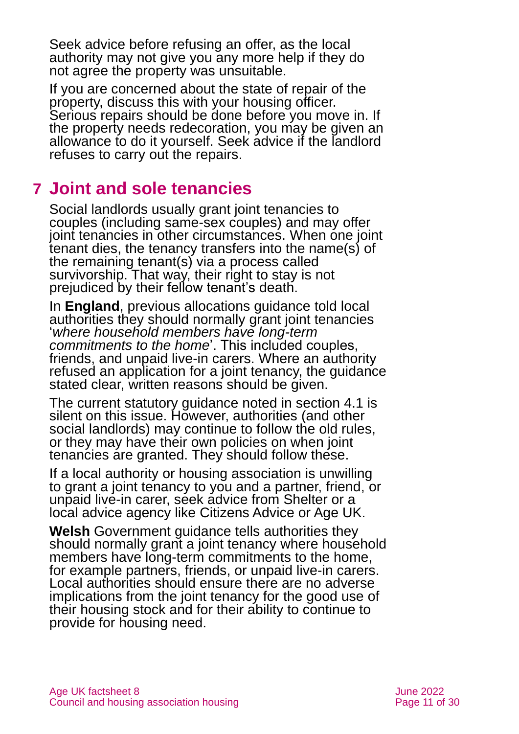Seek advice before refusing an offer, as the local authority may not give you any more help if they do not agree the property was unsuitable.

If you are concerned about the state of repair of the property, discuss this with your housing officer. Serious repairs should be done before you move in. If the property needs redecoration, you may be given an allowance to do it yourself. Seek advice if the landlord refuses to carry out the repairs.

# <span id="page-10-0"></span>**7 Joint and sole tenancies**

Social landlords usually grant joint tenancies to couples (including same-sex couples) and may offer joint tenancies in other circumstances. When one joint tenant dies, the tenancy transfers into the name(s) of the remaining tenant(s) via a process called survivorship. That way, their right to stay is not prejudiced by their fellow tenant's death.

In **England**, previous allocations guidance told local authorities they should normally grant joint tenancies '*where household members have long-term commitments to the home*'. This included couples, friends, and unpaid live-in carers. Where an authority refused an application for a joint tenancy, the guidance stated clear, written reasons should be given.

The current statutory guidance noted in [section 4.1](#page-5-0) is silent on this issue. However, authorities (and other social landlords) may continue to follow the old rules, or they may have their own policies on when joint tenancies are granted. They should follow these.

If a local authority or housing association is unwilling to grant a joint tenancy to you and a partner, friend, or unpaid live-in carer, seek advice from [Shelter](http://www.shelter.org.uk/) or a local advice agency like [Citizens Advice](http://www.citizensadvice.org.uk/) or [Age UK.](http://www.ageuk.org.uk/)

**Welsh** Government guidance tells authorities they should normally grant a joint tenancy where household members have long-term commitments to the home, for example partners, friends, or unpaid live-in carers. Local authorities should ensure there are no adverse implications from the joint tenancy for the good use of their housing stock and for their ability to continue to provide for housing need.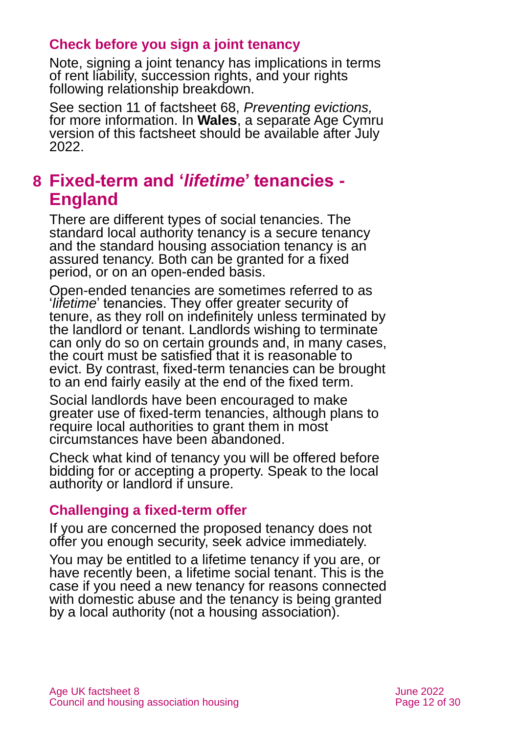### **Check before you sign a joint tenancy**

Note, signing a joint tenancy has implications in terms of rent liability, succession rights, and your rights following relationship breakdown.

See section 11 of factsheet 68, *[Preventing evictions,](https://www.ageuk.org.uk/globalassets/age-uk/documents/factsheets/fs68_tenancy_rights_security_of_tenure_fcs.pdf)* for more information. In **Wales**, a separate Age Cymru version of this factsheet should be available after July 2022.

### <span id="page-11-0"></span>**8 Fixed-term and '***lifetime***' tenancies - England**

There are different types of social tenancies. The standard local authority tenancy is a secure tenancy and the standard housing association tenancy is an assured tenancy. Both can be granted for a fixed period, or on an open-ended basis.

Open-ended tenancies are sometimes referred to as '*lifetime*' tenancies. They offer greater security of tenure, as they roll on indefinitely unless terminated by the landlord or tenant. Landlords wishing to terminate can only do so on certain grounds and, in many cases, the court must be satisfied that it is reasonable to evict. By contrast, fixed-term tenancies can be brought to an end fairly easily at the end of the fixed term.

Social landlords have been encouraged to make greater use of fixed-term tenancies, although plans to require local authorities to grant them in most circumstances have been abandoned.

Check what kind of tenancy you will be offered before bidding for or accepting a property. Speak to the local authority or landlord if unsure.

### **Challenging a fixed-term offer**

If you are concerned the proposed tenancy does not offer you enough security, seek advice immediately.

You may be entitled to a lifetime tenancy if you are, or have recently been, a lifetime social tenant. This is the case if you need a new tenancy for reasons connected with domestic abuse and the tenancy is being granted by a local authority (not a housing association).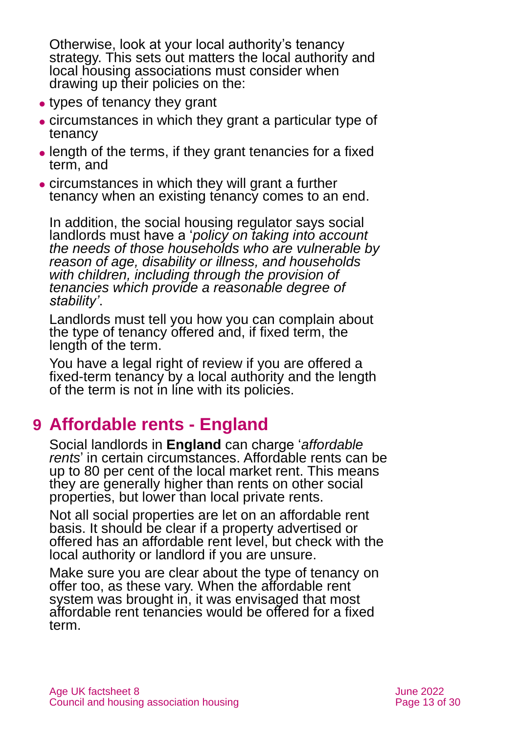Otherwise, look at your local authority's tenancy strategy. This sets out matters the local authority and local housing associations must consider when drawing up their policies on the:

- types of tenancy they grant
- ⚫ circumstances in which they grant a particular type of tenancy
- ⚫ length of the terms, if they grant tenancies for a fixed term, and
- ⚫ circumstances in which they will grant a further tenancy when an existing tenancy comes to an end.

In addition, the social housing regulator says social landlords must have a '*policy on taking into account the needs of those households who are vulnerable by reason of age, disability or illness, and households with children, including through the provision of tenancies which provide a reasonable degree of stability'*.

Landlords must tell you how you can complain about the type of tenancy offered and, if fixed term, the length of the term.

You have a legal right of review if you are offered a fixed-term tenancy by a local authority and the length of the term is not in line with its policies.

# <span id="page-12-0"></span>**9 Affordable rents - England**

Social landlords in **England** can charge '*affordable rents*' in certain circumstances. Affordable rents can be up to 80 per cent of the local market rent. This means they are generally higher than rents on other social properties, but lower than local private rents.

Not all social properties are let on an affordable rent basis. It should be clear if a property advertised or offered has an affordable rent level, but check with the local authority or landlord if you are unsure.

Make sure you are clear about the type of tenancy on offer too, as these vary. When the affordable rent system was brought in, it was envisaged that most affordable rent tenancies would be offered for a fixed term.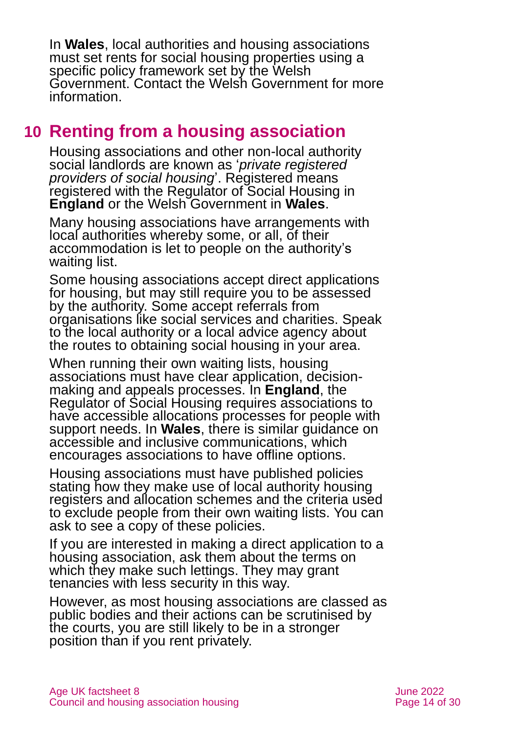In **Wales**, local authorities and housing associations must set rents for social housing properties using a specific policy framework set by the Welsh Government. Contact the [Welsh Government](https://gov.wales/) for more information.

### <span id="page-13-0"></span>**10 Renting from a housing association**

Housing associations and other non-local authority social landlords are known as '*private registered providers of social housing*'. Registered means registered with the Regulator of Social Housing in **England** or the Welsh Government in **Wales**.

Many housing associations have arrangements with local authorities whereby some, or all, of their accommodation is let to people on the authority's waiting list.

Some housing associations accept direct applications for housing, but may still require you to be assessed by the authority. Some accept referrals from organisations like social services and charities. Speak to the local authority or a local advice agency about the routes to obtaining social housing in your area.

When running their own waiting lists, housing associations must have clear application, decisionmaking and appeals processes. In **England**, the Regulator of Social Housing requires associations to have accessible allocations processes for people with support needs. In **Wales**, there is [similar guidance](https://gov.wales/sites/default/files/publications/2019-03/allocation-of-accommodation-and-homelessness-guidance-for-local-authorities.pdf) on accessible and inclusive communications, which encourages associations to have offline options.

Housing associations must have published policies stating how they make use of local authority housing registers and allocation schemes and the criteria used to exclude people from their own waiting lists. You can ask to see a copy of these policies.

If you are interested in making a direct application to a housing association, ask them about the terms on which they make such lettings. They may grant tenancies with less security in this way.

However, as most housing associations are classed as public bodies and their actions can be scrutinised by the courts, you are still likely to be in a stronger position than if you rent privately.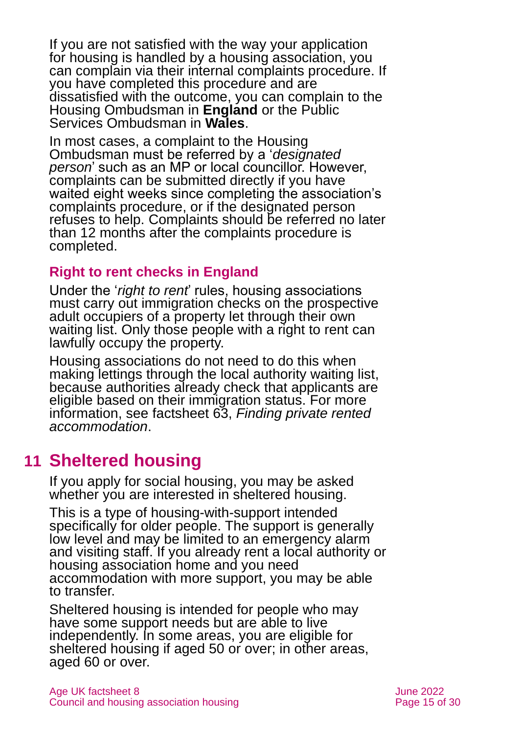If you are not satisfied with the way your application for housing is handled by a housing association, you can complain via their internal complaints procedure. If you have completed this procedure and are dissatisfied with the outcome, you can complain to the [Housing Ombudsman](http://www.housing-ombudsman.org.uk/) in **England** or the [Public](http://www.ombudsman-wales.org.uk/)  [Services Ombudsman in](http://www.ombudsman-wales.org.uk/) **Wales**.

In most cases, a complaint to the [Housing](http://www.housing-ombudsman.org.uk/)  [Ombudsman](http://www.housing-ombudsman.org.uk/) must be referred by a '*designated person*' such as an MP or local councillor. However, complaints can be submitted directly if you have waited eight weeks since completing the association's complaints procedure, or if the designated person refuses to help. Complaints should be referred no later than 12 months after the complaints procedure is completed.

### **Right to rent checks in England**

Under the '*right to rent*' rules, housing associations must carry out immigration checks on the prospective adult occupiers of a property let through their own waiting list. Only those people with a right to rent can lawfully occupy the property.

Housing associations do not need to do this when making lettings through the local authority waiting list, because authorities already check that applicants are eligible based on their immigration status. For more information, see factsheet 63, *[Finding private rented](https://www.ageuk.org.uk/globalassets/age-uk/documents/factsheets/fs63_finding_private_rented_accommodation_fcs.pdf?dtrk=true)  [accommodation](https://www.ageuk.org.uk/globalassets/age-uk/documents/factsheets/fs63_finding_private_rented_accommodation_fcs.pdf?dtrk=true)*.

# <span id="page-14-0"></span>**11 Sheltered housing**

If you apply for social housing, you may be asked whether you are interested in sheltered housing.

This is a type of housing-with-support intended specifically for older people. The support is generally low level and may be limited to an emergency alarm and visiting staff. If you already rent a local authority or housing association home and you need accommodation with more support, you may be able to transfer.

Sheltered housing is intended for people who may have some support needs but are able to live independently. In some areas, you are eligible for sheltered housing if aged 50 or over; in other areas, aged 60 or over.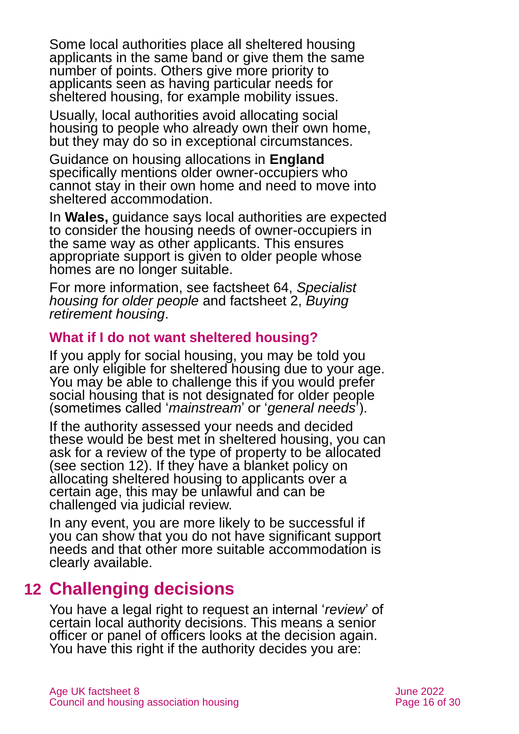Some local authorities place all sheltered housing applicants in the same band or give them the same number of points. Others give more priority to applicants seen as having particular needs for sheltered housing, for example mobility issues.

Usually, local authorities avoid allocating social housing to people who already own their own home, but they may do so in exceptional circumstances.

Guidance on housing allocations in **England** specifically mentions older owner-occupiers who cannot stay in their own home and need to move into sheltered accommodation.

In **Wales,** guidance says local authorities are expected to consider the housing needs of owner-occupiers in the same way as other applicants. This ensures appropriate support is given to older people whose homes are no longer suitable.

For more information, see factsheet 64, *[Specialist](https://www.ageuk.org.uk/globalassets/age-uk/documents/factsheets/fs64_specialist_housing_for_older_people_fcs.pdf)  [housing for older people](https://www.ageuk.org.uk/globalassets/age-uk/documents/factsheets/fs64_specialist_housing_for_older_people_fcs.pdf)* and factsheet 2, *[Buying](https://www.ageuk.org.uk/globalassets/age-uk/documents/factsheets/fs2_buying_retirement_housing_fcs.pdf)  [retirement housing](https://www.ageuk.org.uk/globalassets/age-uk/documents/factsheets/fs2_buying_retirement_housing_fcs.pdf)*.

### **What if I do not want sheltered housing?**

If you apply for social housing, you may be told you are only eligible for sheltered housing due to your age. You may be able to challenge this if you would prefer social housing that is not designated for older people (sometimes called '*mainstream*' or '*general needs*').

If the authority assessed your needs and decided these would be best met in sheltered housing, you can ask for a review of the type of property to be allocated [\(see section 12\)](#page-15-0). If they have a blanket policy on allocating sheltered housing to applicants over a certain age, this may be unlawful and can be challenged via judicial review.

In any event, you are more likely to be successful if you can show that you do not have significant support needs and that other more suitable accommodation is clearly available.

# <span id="page-15-0"></span>**12 Challenging decisions**

You have a legal right to request an internal '*review*' of certain local authority decisions. This means a senior officer or panel of officers looks at the decision again. You have this right if the authority decides you are: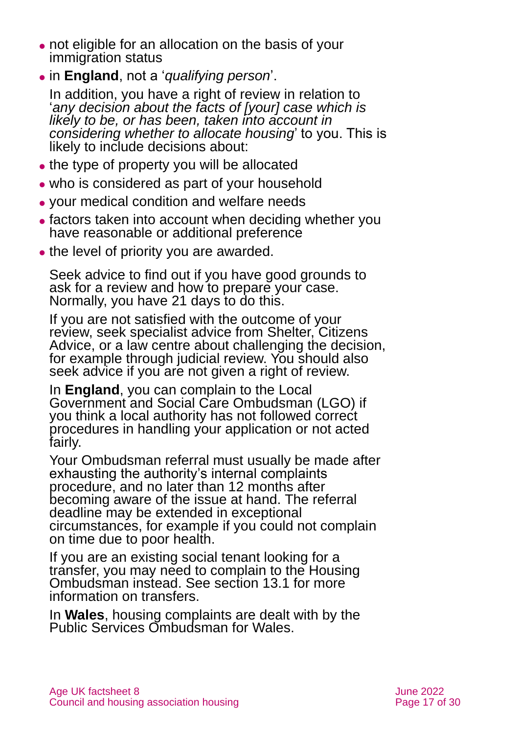- ⚫ not eligible for an allocation on the basis of your immigration status
- ⚫ in **England**, not a '*qualifying person*'.

In addition, you have a right of review in relation to '*any decision about the facts of [your] case which is likely to be, or has been, taken into account in considering whether to allocate housing*' to you. This is likely to include decisions about:

- the type of property you will be allocated
- ⚫ who is considered as part of your household
- ⚫ your medical condition and welfare needs
- factors taken into account when deciding whether you have reasonable or additional preference
- the level of priority you are awarded.

Seek advice to find out if you have good grounds to ask for a review and how to prepare your case. Normally, you have 21 days to do this.

If you are not satisfied with the outcome of your review, seek specialist advice from [Shelter,](http://www.shelter.org.uk/) [Citizens](http://www.citizensadvice.org.uk/)  [Advice,](http://www.citizensadvice.org.uk/) or a law centre about challenging the decision, for example through judicial review. You should also seek advice if you are not given a right of review.

In **England**, you can complain to the [Local](http://www.lgo.org.uk/)  [Government and Social Care Ombudsman](http://www.lgo.org.uk/) (LGO) if you think a local authority has not followed correct procedures in handling your application or not acted fairly.

Your Ombudsman referral must usually be made after exhausting the authority's internal complaints procedure, and no later than 12 months after becoming aware of the issue at hand. The referral deadline may be extended in exceptional circumstances, for example if you could not complain on time due to poor health.

If you are an existing social tenant looking for a transfer, you may need to complain to the Housing Ombudsman instead. See [section 13.1](#page-17-1) for more information on transfers.

In **Wales**, housing complaints are dealt with by the [Public Services Ombudsman for Wales.](http://www.ombudsman-wales.org.uk/)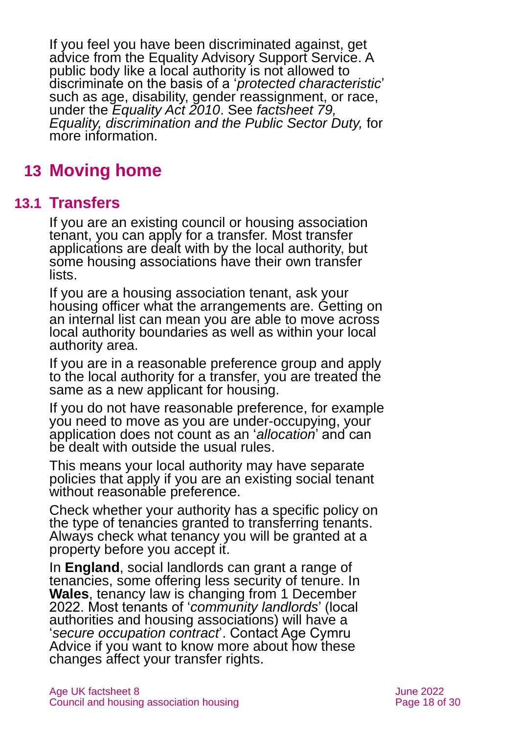If you feel you have been discriminated against, get advice from the [Equality Advisory Support Service.](http://www.equalityadvisoryservice.com/) A public body like a local authority is not allowed to discriminate on the basis of a '*protected characteristic*' such as age, disability, gender reassignment, or race, under the *Equality Act 2010*. See *[factsheet 79,](https://www.ageuk.org.uk/globalassets/age-uk/documents/factsheets/fs79_equality_discrimination_and_the_public_sector_equality_duty_fcs.pdf)  [Equality, discrimination and the Public Sector Duty,](https://www.ageuk.org.uk/globalassets/age-uk/documents/factsheets/fs79_equality_discrimination_and_the_public_sector_equality_duty_fcs.pdf)* for more information.

# <span id="page-17-1"></span><span id="page-17-0"></span>**13 Moving home**

### **13.1 Transfers**

If you are an existing council or housing association tenant, you can apply for a transfer. Most transfer applications are dealt with by the local authority, but some housing associations have their own transfer lists.

If you are a housing association tenant, ask your housing officer what the arrangements are. Getting on an internal list can mean you are able to move across local authority boundaries as well as within your local authority area.

If you are in a reasonable preference group and apply to the local authority for a transfer, you are treated the same as a new applicant for housing.

If you do not have reasonable preference, for example you need to move as you are under-occupying, your application does not count as an '*allocation*' and can be dealt with outside the usual rules.

This means your local authority may have separate policies that apply if you are an existing social tenant without reasonable preference.

Check whether your authority has a specific policy on the type of tenancies granted to transferring tenants. Always check what tenancy you will be granted at a property before you accept it.

In **England**, social landlords can grant a range of tenancies, some offering less security of tenure. In **Wales**, tenancy law is changing from 1 December 2022. Most tenants of '*community landlords*' (local authorities and housing associations) will have a '*secure occupation contract*'. Contact Age Cymru Advice if you want to know more about how these changes affect your transfer rights.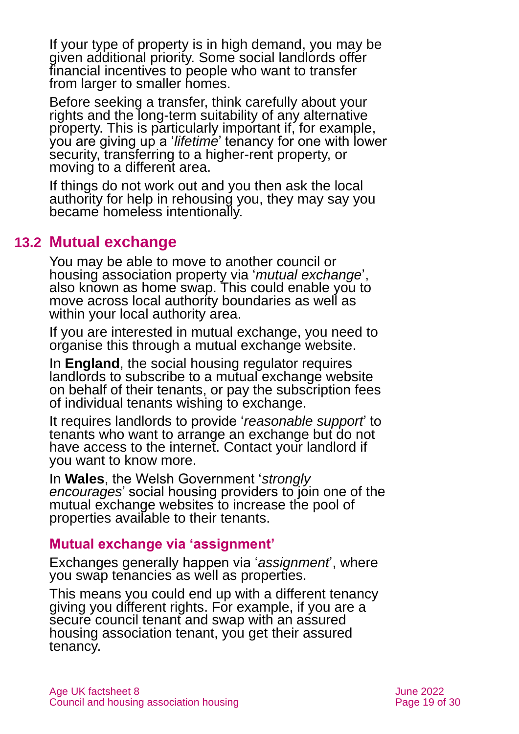If your type of property is in high demand, you may be given additional priority. Some social landlords offer financial incentives to people who want to transfer from larger to smaller homes.

Before seeking a transfer, think carefully about your rights and the long-term suitability of any alternative property. This is particularly important if, for example, you are giving up a '*lifetime*' tenancy for one with lower security, transferring to a higher-rent property, or moving to a different area.

If things do not work out and you then ask the local authority for help in rehousing you, they may say you became homeless intentionally.

### **13.2 Mutual exchange**

You may be able to move to another council or housing association property via '*mutual exchange*', also known as home swap. This could enable you to move across local authority boundaries as well as within your local authority area.

If you are interested in mutual exchange, you need to organise this through a mutual exchange website.

In **England**, the social housing regulator requires landlords to subscribe to a mutual exchange website on behalf of their tenants, or pay the subscription fees of individual tenants wishing to exchange.

It requires landlords to provide '*reasonable support*' to tenants who want to arrange an exchange but do not have access to the internet. Contact your landlord if you want to know more.

In **Wales**, the Welsh Government '*strongly encourages*' social housing providers to join one of the mutual exchange websites to increase the pool of properties available to their tenants.

### **Mutual exchange via 'assignment'**

Exchanges generally happen via '*assignment*', where you swap tenancies as well as properties.

This means you could end up with a different tenancy giving you different rights. For example, if you are a secure council tenant and swap with an assured housing association tenant, you get their assured tenancy.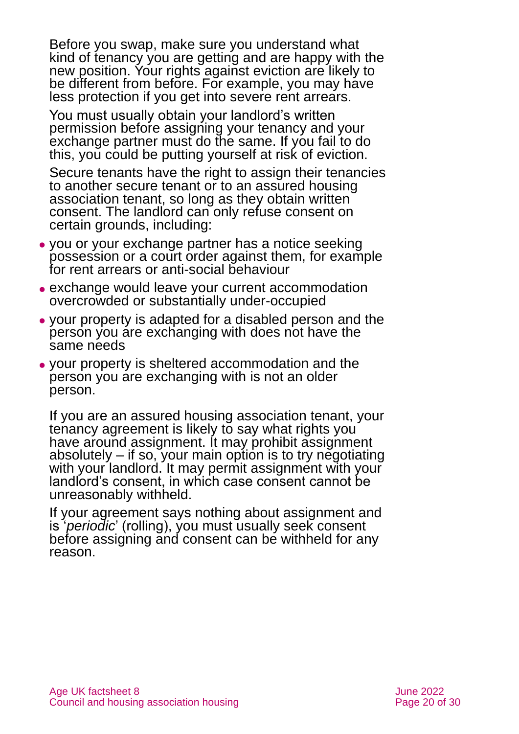Before you swap, make sure you understand what kind of tenancy you are getting and are happy with the new position. Your rights against eviction are likely to be different from before. For example, you may have less protection if you get into severe rent arrears.

You must usually obtain your landlord's written permission before assigning your tenancy and your exchange partner must do the same. If you fail to do this, you could be putting yourself at risk of eviction.

Secure tenants have the right to assign their tenancies to another secure tenant or to an assured housing association tenant, so long as they obtain written consent. The landlord can only refuse consent on certain grounds, including:

- ⚫ you or your exchange partner has a notice seeking possession or a court order against them, for example for rent arrears or anti-social behaviour
- ⚫ exchange would leave your current accommodation overcrowded or substantially under-occupied
- ⚫ your property is adapted for a disabled person and the person you are exchanging with does not have the same needs
- ⚫ your property is sheltered accommodation and the person you are exchanging with is not an older person.

If you are an assured housing association tenant, your tenancy agreement is likely to say what rights you have around assignment. It may prohibit assignment absolutely – if so, your main option is to try negotiating with your landlord. It may permit assignment with your landlord's consent, in which case consent cannot be unreasonably withheld.

If your agreement says nothing about assignment and is '*periodic*' (rolling), you must usually seek consent before assigning and consent can be withheld for any reason.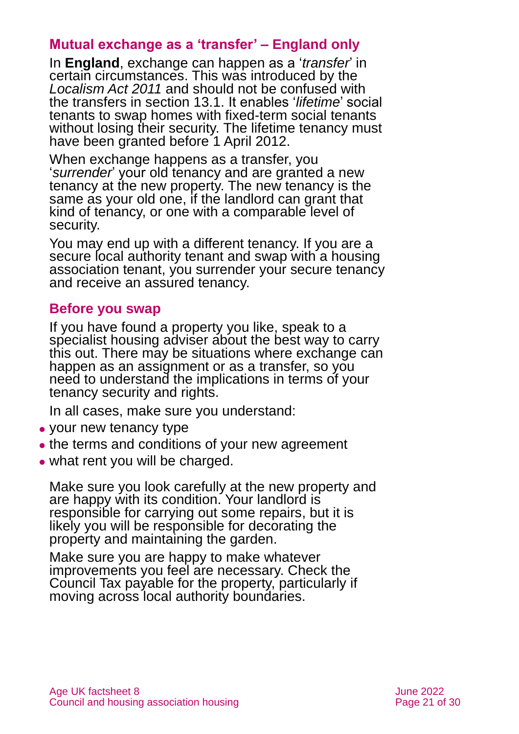### **Mutual exchange as a 'transfer' – England only**

In **England**, exchange can happen as a '*transfer*' in certain circumstances. This was introduced by the *[Localism Act 2011](https://www.legislation.gov.uk/ukpga/2011/20/contents)* and should not be confused with the transfers in [section 13.1.](#page-17-1) It enables '*lifetime*' social tenants to swap homes with fixed-term social tenants without losing their security. The lifetime tenancy must have been granted before 1 April 2012.

When exchange happens as a transfer, you '*surrender*' your old tenancy and are granted a new tenancy at the new property. The new tenancy is the same as your old one, if the landlord can grant that kind of tenancy, or one with a comparable level of security.

You may end up with a different tenancy. If you are a secure local authority tenant and swap with a housing association tenant, you surrender your secure tenancy and receive an assured tenancy.

### **Before you swap**

If you have found a property you like, speak to a specialist housing adviser about the best way to carry this out. There may be situations where exchange can happen as an assignment or as a transfer, so you need to understand the implications in terms of your tenancy security and rights.

In all cases, make sure you understand:

- ⚫ your new tenancy type
- the terms and conditions of your new agreement
- what rent you will be charged.

Make sure you look carefully at the new property and are happy with its condition. Your landlord is responsible for carrying out some repairs, but it is likely you will be responsible for decorating the property and maintaining the garden.

Make sure you are happy to make whatever improvements you feel are necessary. Check the Council Tax payable for the property, particularly if moving across local authority boundaries.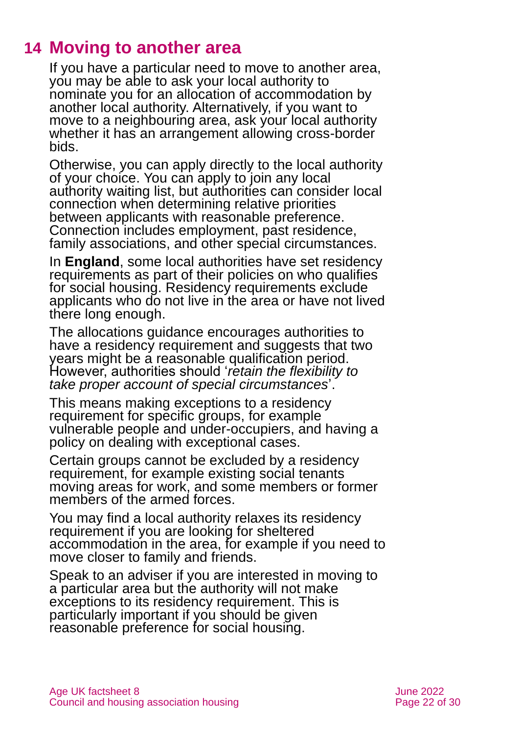# **14 Moving to another area**

<span id="page-21-0"></span>If you have a particular need to move to another area, you may be able to ask your local authority to nominate you for an allocation of accommodation by another local authority. Alternatively, if you want to move to a neighbouring area, ask your local authority whether it has an arrangement allowing cross-border bids.

Otherwise, you can apply directly to the local authority of your choice. You can apply to join any local authority waiting list, but authorities can consider local connection when determining relative priorities between applicants with reasonable preference. Connection includes employment, past residence, family associations, and other special circumstances.

In **England**, some local authorities have set residency requirements as part of their policies on who qualifies for social housing. Residency requirements exclude applicants who do not live in the area or have not lived there long enough.

The allocations guidance encourages authorities to have a residency requirement and suggests that two years might be a reasonable qualification period. However, authorities should '*retain the flexibility to take proper account of special circumstances*'.

This means making exceptions to a residency requirement for specific groups, for example vulnerable people and under-occupiers, and having a policy on dealing with exceptional cases.

Certain groups cannot be excluded by a residency requirement, for example existing social tenants moving areas for work, and some members or former members of the armed forces.

You may find a local authority relaxes its residency requirement if you are looking for sheltered accommodation in the area, for example if you need to move closer to family and friends.

Speak to an adviser if you are interested in moving to a particular area but the authority will not make exceptions to its residency requirement. This is particularly important if you should be given reasonable preference for social housing.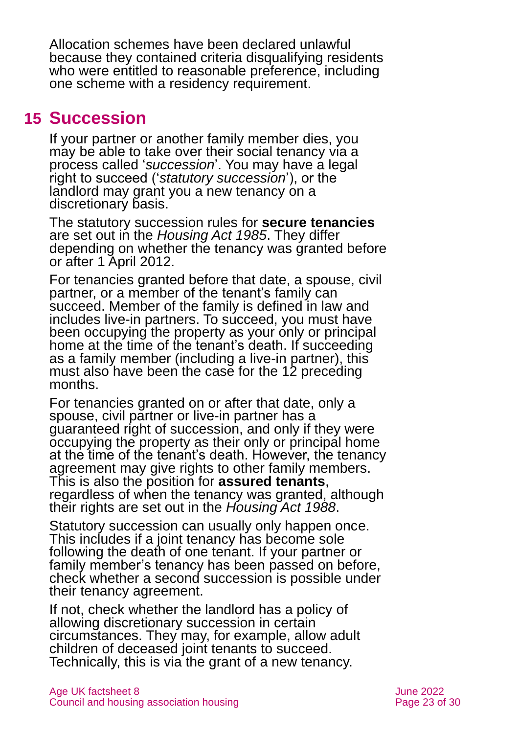Allocation schemes have been declared unlawful because they contained criteria disqualifying residents who were entitled to reasonable preference, including one scheme with a residency requirement.

### <span id="page-22-0"></span>**15 Succession**

If your partner or another family member dies, you may be able to take over their social tenancy via a process called '*succession*'. You may have a legal right to succeed ('*statutory succession*'), or the landlord may grant you a new tenancy on a discretionary basis.

The statutory succession rules for **secure tenancies** are set out in the *[Housing Act 1985](https://www.legislation.gov.uk/ukpga/1985/68/contents)*. They differ depending on whether the tenancy was granted before or after 1 April 2012.

For tenancies granted before that date, a spouse, civil partner, or a member of the tenant's family can succeed. Member of the family is defined in law and includes live-in partners. To succeed, you must have been occupying the property as your only or principal home at the time of the tenant's death. If succeeding as a family member (including a live-in partner), this must also have been the case for the 12 preceding months.

For tenancies granted on or after that date, only a spouse, civil partner or live-in partner has a guaranteed right of succession, and only if they were occupying the property as their only or principal home at the time of the tenant's death. However, the tenancy agreement may give rights to other family members. This is also the position for **assured tenants**, regardless of when the tenancy was granted, although their rights are set out in the *[Housing Act 1988](https://www.legislation.gov.uk/ukpga/1988/50/contents)*.

Statutory succession can usually only happen once. This includes if a joint tenancy has become sole following the death of one tenant. If your partner or family member's tenancy has been passed on before, check whether a second succession is possible under their tenancy agreement.

If not, check whether the landlord has a policy of allowing discretionary succession in certain circumstances. They may, for example, allow adult children of deceased joint tenants to succeed. Technically, this is via the grant of a new tenancy.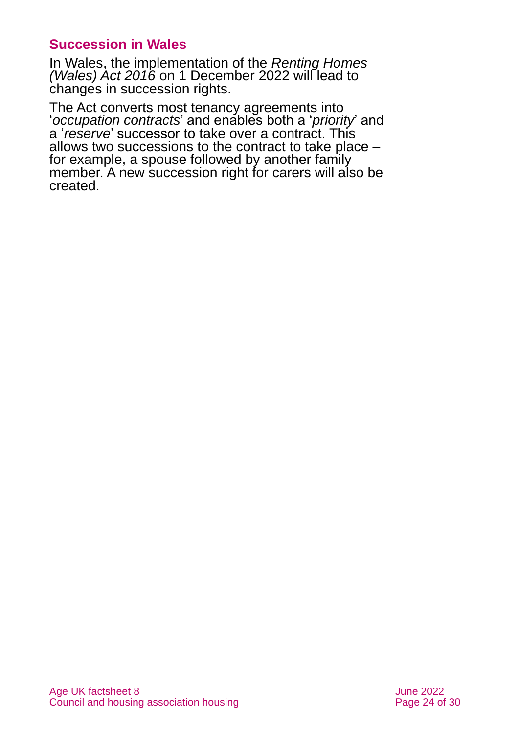#### **Succession in Wales**

In Wales, the implementation of the *[Renting Homes](https://www.legislation.gov.uk/anaw/2016/1/contents)  [\(Wales\) Act 2016](https://www.legislation.gov.uk/anaw/2016/1/contents)* on 1 December 2022 will lead to changes in succession rights.

The Act converts most tenancy agreements into '*occupation contracts*' and enables both a '*priority*' and a '*reserve*' successor to take over a contract. This allows two successions to the contract to take place – for example, a spouse followed by another family member. A new succession right for carers will also be created.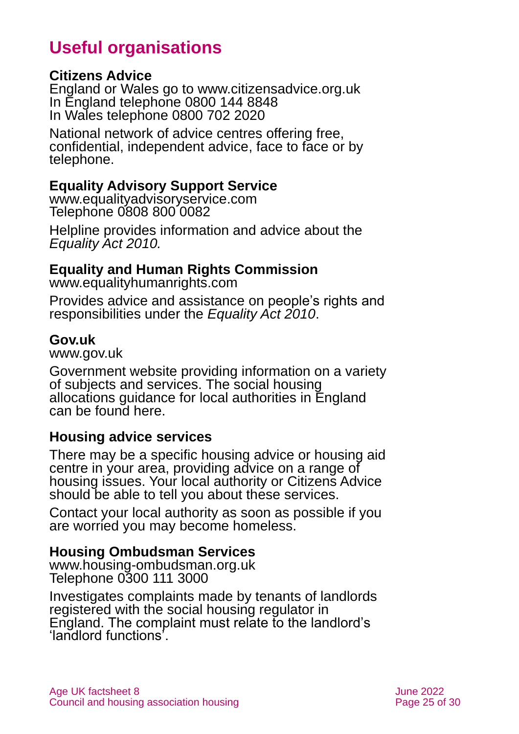# **Useful organisations**

#### <span id="page-24-0"></span>**Citizens Advice**

England or Wales go to [www.citizensadvice.org.uk](http://www.citizensadvice.org.uk/) In England telephone 0800 144 8848 In Wales telephone 0800 702 2020

National network of advice centres offering free, confidential, independent advice, face to face or by telephone.

### **Equality Advisory Support Service**

[www.equalityadvisoryservice.com](http://www.equalityadvisoryservice.com/) Telephone 0808 800 0082

Helpline provides information and advice about the *Equality Act 2010.*

### **Equality and Human Rights Commission**

[www.equalityhumanrights.com](http://www.equalityhumanrights.com/)

Provides advice and assistance on people's rights and responsibilities under the *Equality Act 2010*.

#### **Gov.uk**

[www.gov.uk](http://www.gov.uk/)

Government website providing information on a variety of subjects and services. The social housing allocations guidance for local authorities in England can be found here.

### **Housing advice services**

There may be a specific housing advice or housing aid centre in your area, providing advice on a range of housing issues. Your local authority or Citizens Advice should be able to tell you about these services.

Contact your local authority as soon as possible if you are worried you may become homeless.

### **Housing Ombudsman Services**

[www.housing-ombudsman.org.uk](http://www.housing-ombudsman.org.uk/) Telephone 0300 111 3000

Investigates complaints made by tenants of landlords registered with the social housing regulator in England. The complaint must relate to the landlord's 'landlord functions'.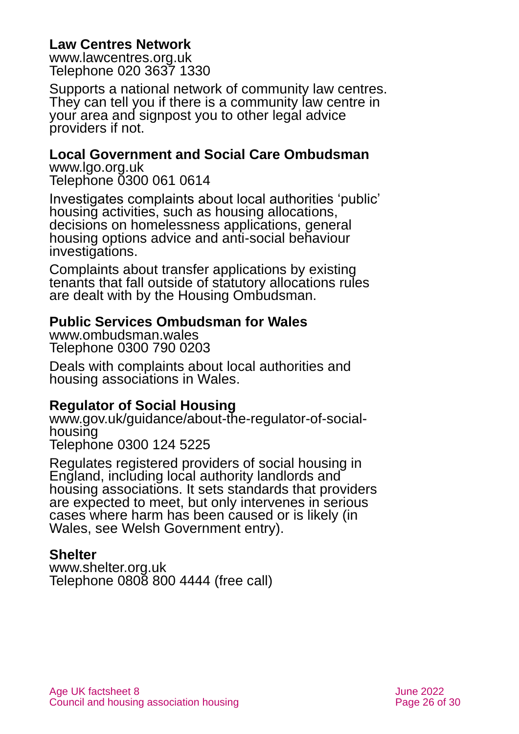### **Law Centres Network**

[www.lawcentres.org.uk](http://www.lawcentres.org.uk/) Telephone 020 3637 1330

Supports a national network of community law centres. They can tell you if there is a community law centre in your area and signpost you to other legal advice providers if not.

### **Local Government and Social Care Ombudsman**

[www.lgo.org.uk](http://www.lgo.org.uk/) Telephone 0300 061 0614

Investigates complaints about local authorities 'public' housing activities, such as housing allocations, decisions on homelessness applications, general housing options advice and anti-social behaviour investigations.

Complaints about transfer applications by existing tenants that fall outside of statutory allocations rules are dealt with by the Housing Ombudsman.

### **Public Services Ombudsman for Wales**

[www.ombudsman.wales](https://www.ombudsman.wales/) Telephone 0300 790 0203

Deals with complaints about local authorities and housing associations in Wales.

### **Regulator of Social Housing**

[www.gov.uk/guidance/about-the-regulator-of-social](http://www.gov.uk/guidance/about-the-regulator-of-social-housing)[housing](http://www.gov.uk/guidance/about-the-regulator-of-social-housing) Telephone 0300 124 5225

Regulates registered providers of social housing in England, including local authority landlords and housing associations. It sets standards that providers are expected to meet, but only intervenes in serious cases where harm has been caused or is likely (in Wales, see Welsh Government entry).

#### **Shelter**

[www.shelter.org.uk](http://www.shelter.org.uk/) Telephone 0808 800 4444 (free call)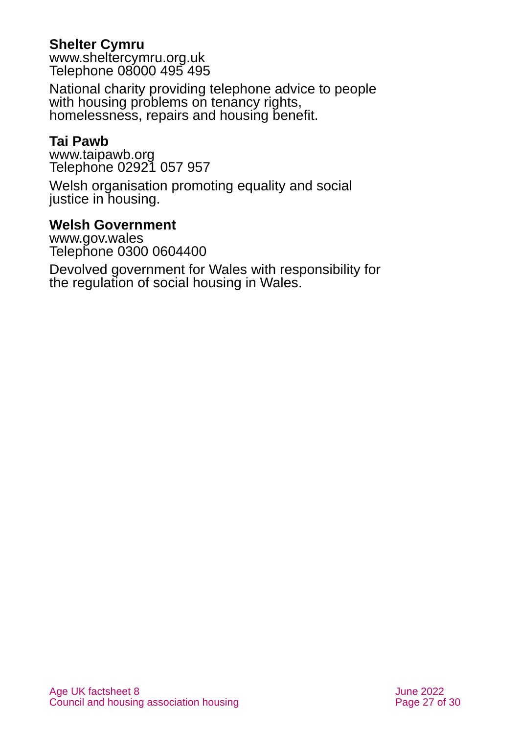### **Shelter Cymru**

[www.sheltercymru.org.uk](http://www.sheltercymru.org.uk/) Telephone 08000 495 495

National charity providing telephone advice to people with housing problems on tenancy rights, homelessness, repairs and housing benefit.

### **Tai Pawb**

[www.taipawb.org](http://www.taipawb.org/) Telephone 02921 057 957

Welsh organisation promoting equality and social justice in housing.

### **Welsh Government**

[www.gov.wales](http://www.gov.wales/) Telephone 0300 0604400

Devolved government for Wales with responsibility for the regulation of social housing in Wales.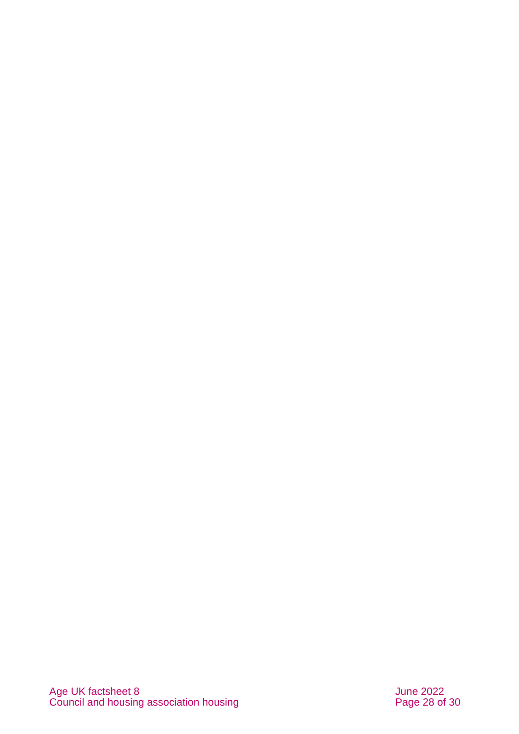June 2022<br>Page 28 of 30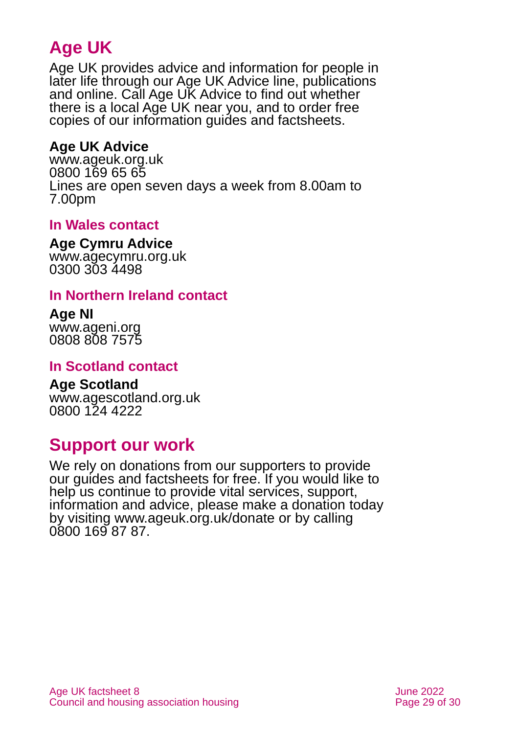# **Age UK**

Age UK provides advice and information for people in later life through our Age UK Advice line, publications and online. Call Age UK Advice to find out whether there is a local Age UK near you, and to order free copies of our information guides and factsheets.

### <span id="page-28-1"></span>**Age UK Advice**

[www.ageuk.org.uk](http://www.ageuk.org.uk/) 0800 169 65 65 Lines are open seven days a week from 8.00am to 7.00pm

### **In Wales contact**

#### **Age Cymru Advice**

[www.agecymru.org.uk](http://www.agecymru.org.uk/) 0300 303 4498

### **In Northern Ireland contact**

#### **Age NI** [www.ageni.org](http://www.ageni.org/)

0808 808 7575

### <span id="page-28-0"></span>**In Scotland contact**

# <span id="page-28-2"></span>**Age Scotland**

[www.agescotland.org.uk](http://www.agescotland.org.uk/) 0800 124 4222

### **Support our work**

We rely on donations from our supporters to provide our guides and factsheets for free. If you would like to help us continue to provide vital services, support, information and advice, please make a donation today by visiting [www.ageuk.org.uk/donate](http://www.ageuk.org.uk/donate) or by calling 0800 169 87 87.